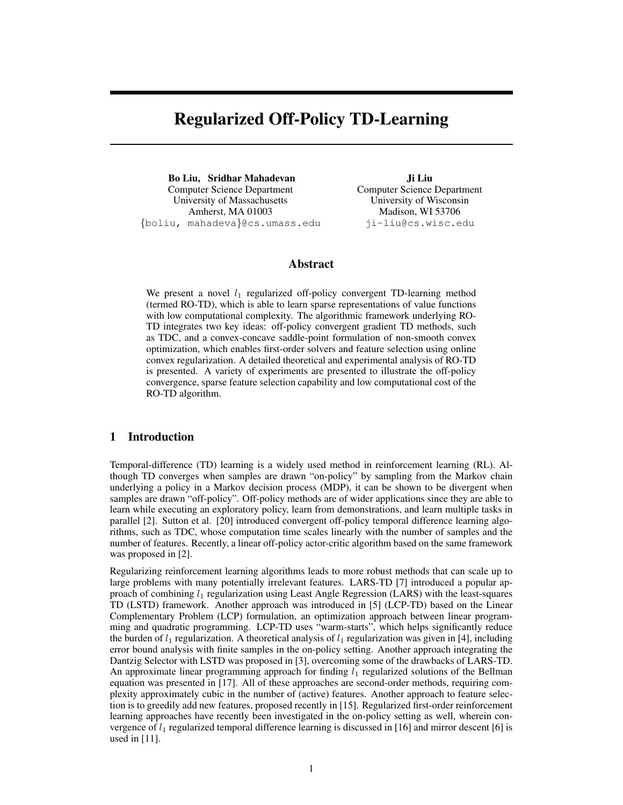# Regularized Off-Policy TD-Learning

Bo Liu, Sridhar Mahadevan Computer Science Department University of Massachusetts Amherst, MA 01003 {boliu, mahadeva}@cs.umass.edu

Ji Liu Computer Science Department University of Wisconsin Madison, WI 53706 ji-liu@cs.wisc.edu

# Abstract

We present a novel  $l_1$  regularized off-policy convergent TD-learning method (termed RO-TD), which is able to learn sparse representations of value functions with low computational complexity. The algorithmic framework underlying RO-TD integrates two key ideas: off-policy convergent gradient TD methods, such as TDC, and a convex-concave saddle-point formulation of non-smooth convex optimization, which enables first-order solvers and feature selection using online convex regularization. A detailed theoretical and experimental analysis of RO-TD is presented. A variety of experiments are presented to illustrate the off-policy convergence, sparse feature selection capability and low computational cost of the RO-TD algorithm.

# 1 Introduction

Temporal-difference (TD) learning is a widely used method in reinforcement learning (RL). Although TD converges when samples are drawn "on-policy" by sampling from the Markov chain underlying a policy in a Markov decision process (MDP), it can be shown to be divergent when samples are drawn "off-policy". Off-policy methods are of wider applications since they are able to learn while executing an exploratory policy, learn from demonstrations, and learn multiple tasks in parallel [2]. Sutton et al. [20] introduced convergent off-policy temporal difference learning algorithms, such as TDC, whose computation time scales linearly with the number of samples and the number of features. Recently, a linear off-policy actor-critic algorithm based on the same framework was proposed in [2].

Regularizing reinforcement learning algorithms leads to more robust methods that can scale up to large problems with many potentially irrelevant features. LARS-TD [7] introduced a popular approach of combining  $l_1$  regularization using Least Angle Regression (LARS) with the least-squares TD (LSTD) framework. Another approach was introduced in [5] (LCP-TD) based on the Linear Complementary Problem (LCP) formulation, an optimization approach between linear programming and quadratic programming. LCP-TD uses "warm-starts", which helps significantly reduce the burden of  $l_1$  regularization. A theoretical analysis of  $l_1$  regularization was given in [4], including error bound analysis with finite samples in the on-policy setting. Another approach integrating the Dantzig Selector with LSTD was proposed in [3], overcoming some of the drawbacks of LARS-TD. An approximate linear programming approach for finding  $l_1$  regularized solutions of the Bellman equation was presented in [17]. All of these approaches are second-order methods, requiring complexity approximately cubic in the number of (active) features. Another approach to feature selection is to greedily add new features, proposed recently in [15]. Regularized first-order reinforcement learning approaches have recently been investigated in the on-policy setting as well, wherein convergence of  $l_1$  regularized temporal difference learning is discussed in [16] and mirror descent [6] is used in [11].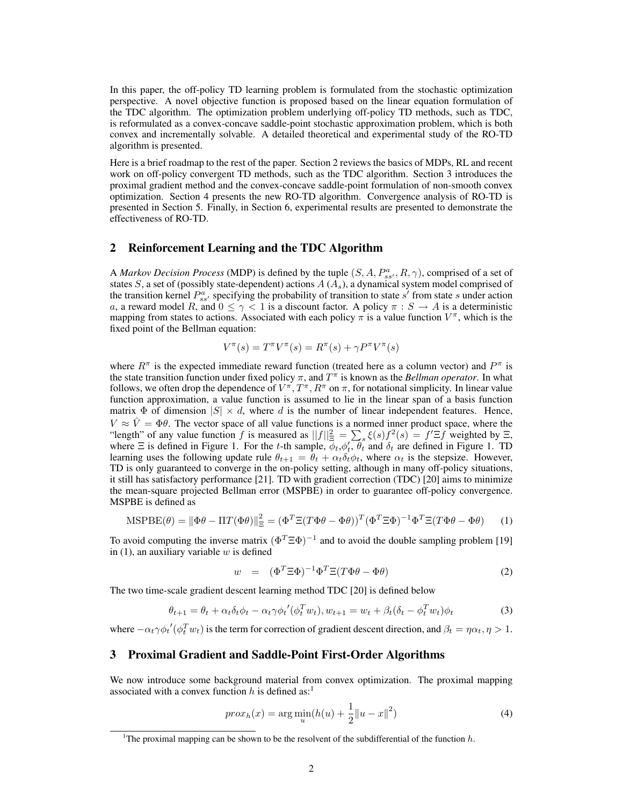In this paper, the off-policy TD learning problem is formulated from the stochastic optimization perspective. A novel objective function is proposed based on the linear equation formulation of the TDC algorithm. The optimization problem underlying off-policy TD methods, such as TDC, is reformulated as a convex-concave saddle-point stochastic approximation problem, which is both convex and incrementally solvable. A detailed theoretical and experimental study of the RO-TD algorithm is presented.

Here is a brief roadmap to the rest of the paper. Section 2 reviews the basics of MDPs, RL and recent work on off-policy convergent TD methods, such as the TDC algorithm. Section 3 introduces the proximal gradient method and the convex-concave saddle-point formulation of non-smooth convex optimization. Section 4 presents the new RO-TD algorithm. Convergence analysis of RO-TD is presented in Section 5. Finally, in Section 6, experimental results are presented to demonstrate the effectiveness of RO-TD.

## 2 Reinforcement Learning and the TDC Algorithm

A *Markov Decision Process* (MDP) is defined by the tuple  $(S, A, P_{ss'}^a, R, \gamma)$ , comprised of a set of states S, a set of (possibly state-dependent) actions  $A(A<sub>s</sub>)$ , a dynamical system model comprised of the transition kernel  $P_{ss}^a$  specifying the probability of transition to state s' from state s under action a, a reward model R, and  $0 \leq \gamma < 1$  is a discount factor. A policy  $\pi : S \to A$  is a deterministic mapping from states to actions. Associated with each policy  $\pi$  is a value function  $V^{\pi}$ , which is the fixed point of the Bellman equation:

$$
V^{\pi}(s) = T^{\pi}V^{\pi}(s) = R^{\pi}(s) + \gamma P^{\pi}V^{\pi}(s)
$$

where  $R^{\pi}$  is the expected immediate reward function (treated here as a column vector) and  $P^{\pi}$  is the state transition function under fixed policy  $\pi$ , and  $T^{\pi}$  is known as the *Bellman operator*. In what follows, we often drop the dependence of  $V^{\pi}$ ,  $T^{\pi}$ ,  $R^{\pi}$  on  $\pi$ , for notational simplicity. In linear value function approximation, a value function is assumed to lie in the linear span of a basis function matrix  $\Phi$  of dimension  $|S| \times d$ , where d is the number of linear independent features. Hence,  $V \approx \dot{V} = \Phi \theta$ . The vector space of all value functions is a normed inner product space, where the "length" of any value function f is measured as  $||f||_{\Xi}^2 = \sum_s \xi(s) f^2(s) = f' \Xi f$  weighted by  $\Xi$ , where  $\Xi$  is defined in Figure 1. For the t-th sample,  $\phi_t$ ,  $\phi'_t$ ,  $\theta'_t$  and  $\delta_t$  are defined in Figure 1. TD learning uses the following update rule  $\theta_{t+1} = \theta_t + \alpha_t \delta_t \phi_t$ , where  $\alpha_t$  is the stepsize. However, TD is only guaranteed to converge in the on-policy setting, although in many off-policy situations, it still has satisfactory performance [21]. TD with gradient correction (TDC) [20] aims to minimize the mean-square projected Bellman error (MSPBE) in order to guarantee off-policy convergence. MSPBE is defined as

$$
\text{MSPBE}(\theta) = \|\Phi\theta - \Pi T(\Phi\theta)\|_{\Xi}^2 = (\Phi^T \Xi (T\Phi\theta - \Phi\theta))^T (\Phi^T \Xi\Phi)^{-1} \Phi^T \Xi (T\Phi\theta - \Phi\theta)
$$
(1)

To avoid computing the inverse matrix  $(\Phi^T \Xi \Phi)^{-1}$  and to avoid the double sampling problem [19] in  $(1)$ , an auxiliary variable w is defined

$$
w = (\Phi^T \Xi \Phi)^{-1} \Phi^T \Xi (T \Phi \theta - \Phi \theta) \tag{2}
$$

The two time-scale gradient descent learning method TDC [20] is defined below

$$
\theta_{t+1} = \theta_t + \alpha_t \delta_t \phi_t - \alpha_t \gamma \phi_t' (\phi_t^T w_t), w_{t+1} = w_t + \beta_t (\delta_t - \phi_t^T w_t) \phi_t \tag{3}
$$

where  $-\alpha_t\gamma\phi_t'(\phi_t^T w_t)$  is the term for correction of gradient descent direction, and  $\beta_t = \eta\alpha_t, \eta > 1$ .

## 3 Proximal Gradient and Saddle-Point First-Order Algorithms

We now introduce some background material from convex optimization. The proximal mapping associated with a convex function h is defined as:<sup>1</sup>

$$
prox_h(x) = \arg\min_u (h(u) + \frac{1}{2} ||u - x||^2)
$$
 (4)

<sup>&</sup>lt;sup>1</sup>The proximal mapping can be shown to be the resolvent of the subdifferential of the function  $h$ .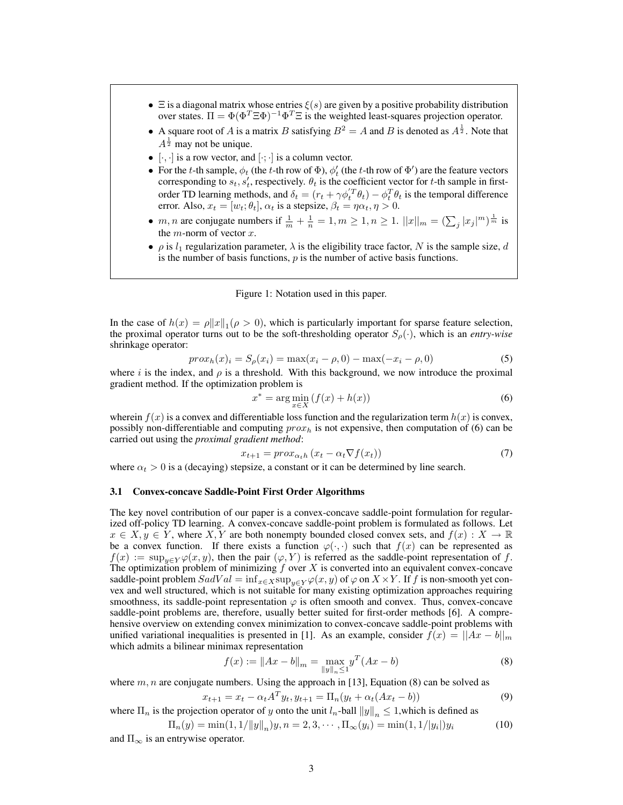- $\Xi$  is a diagonal matrix whose entries  $\xi(s)$  are given by a positive probability distribution over states.  $\Pi = \Phi(\Phi^T \Xi \Phi)^{-1} \Phi^T \Xi$  is the weighted least-squares projection operator.
- A square root of A is a matrix B satisfying  $B^2 = A$  and B is denoted as  $A^{\frac{1}{2}}$ . Note that  $A^{\frac{1}{2}}$  may not be unique.
- $[\cdot, \cdot]$  is a row vector, and  $[\cdot; \cdot]$  is a column vector.
- For the t-th sample,  $\phi_t$  (the t-th row of  $\Phi$ ),  $\phi'_t$  (the t-th row of  $\Phi'$ ) are the feature vectors corresponding to  $s_t$ ,  $s'_t$ , respectively.  $\theta_t$  is the coefficient vector for t-th sample in firstorder TD learning methods, and  $\delta_t = (r_t + \gamma \phi_t^{'T} \theta_t) - \phi_t^T \theta_t$  is the temporal difference error. Also,  $x_t = [w_t; \theta_t]$ ,  $\alpha_t$  is a stepsize,  $\beta_t = \eta \alpha_t, \eta > 0$ .
- *m*, *n* are conjugate numbers if  $\frac{1}{m} + \frac{1}{n} = 1, m \ge 1, n \ge 1$ .  $||x||_m = (\sum_j |x_j|^m)^{\frac{1}{m}}$  is the  $m$ -norm of vector  $x$ .
- $\rho$  is  $l_1$  regularization parameter,  $\lambda$  is the eligibility trace factor, N is the sample size, d is the number of basis functions,  $p$  is the number of active basis functions.



In the case of  $h(x) = \rho ||x||_1 (\rho > 0)$ , which is particularly important for sparse feature selection, the proximal operator turns out to be the soft-thresholding operator  $S_\rho(\cdot)$ , which is an *entry-wise* shrinkage operator:

$$
proxh(x)i = S\rho(xi) = max(xi - \rho, 0) - max(-xi - \rho, 0)
$$
 (5)

where i is the index, and  $\rho$  is a threshold. With this background, we now introduce the proximal gradient method. If the optimization problem is

$$
x^* = \arg\min_{x \in X} \left( f(x) + h(x) \right) \tag{6}
$$

wherein  $f(x)$  is a convex and differentiable loss function and the regularization term  $h(x)$  is convex, possibly non-differentiable and computing  $prox<sub>h</sub>$  is not expensive, then computation of (6) can be carried out using the *proximal gradient method*:

$$
x_{t+1} = prox_{\alpha_t h} (x_t - \alpha_t \nabla f(x_t))
$$
\n<sup>(7)</sup>

where  $\alpha_t > 0$  is a (decaying) stepsize, a constant or it can be determined by line search.

## 3.1 Convex-concave Saddle-Point First Order Algorithms

The key novel contribution of our paper is a convex-concave saddle-point formulation for regularized off-policy TD learning. A convex-concave saddle-point problem is formulated as follows. Let  $x \in X, y \in Y$ , where X, Y are both nonempty bounded closed convex sets, and  $f(x) : X \to \mathbb{R}$ be a convex function. If there exists a function  $\varphi(\cdot, \cdot)$  such that  $f(x)$  can be represented as  $f(x) := \sup_{y \in Y} \varphi(x, y)$ , then the pair  $(\varphi, Y)$  is referred as the saddle-point representation of f. The optimization problem of minimizing  $f$  over  $X$  is converted into an equivalent convex-concave saddle-point problem  $SadVal = \inf_{x \in X} \sup_{y \in Y} \varphi(x, y)$  of  $\varphi$  on  $X \times Y$ . If f is non-smooth yet convex and well structured, which is not suitable for many existing optimization approaches requiring smoothness, its saddle-point representation  $\varphi$  is often smooth and convex. Thus, convex-concave saddle-point problems are, therefore, usually better suited for first-order methods [6]. A comprehensive overview on extending convex minimization to convex-concave saddle-point problems with unified variational inequalities is presented in [1]. As an example, consider  $f(x) = ||Ax - b||_m$ which admits a bilinear minimax representation

$$
f(x) := \|Ax - b\|_{m} = \max_{\|y\|_{n} \le 1} y^{T} (Ax - b)
$$
\n(8)

where  $m, n$  are conjugate numbers. Using the approach in [13], Equation (8) can be solved as

$$
x_{t+1} = x_t - \alpha_t A^T y_t, y_{t+1} = \Pi_n (y_t + \alpha_t (Ax_t - b))
$$
\n(9)

where  $\Pi_n$  is the projection operator of y onto the unit  $l_n$ -ball  $||y||_n \le 1$ , which is defined as  $min(1, 1/||y||)$ 

$$
\Pi_n(y) = \min(1, 1/\|y\|_n)y, n = 2, 3, \cdots, \Pi_{\infty}(y_i) = \min(1, 1/\|y_i\|)y_i
$$
(10)

and  $\Pi_{\infty}$  is an entrywise operator.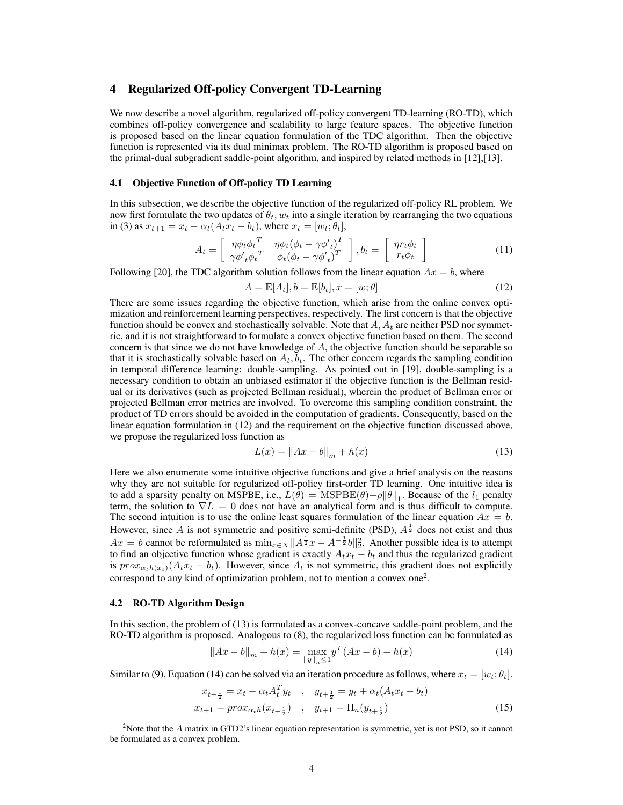# 4 Regularized Off-policy Convergent TD-Learning

We now describe a novel algorithm, regularized off-policy convergent TD-learning (RO-TD), which combines off-policy convergence and scalability to large feature spaces. The objective function is proposed based on the linear equation formulation of the TDC algorithm. Then the objective function is represented via its dual minimax problem. The RO-TD algorithm is proposed based on the primal-dual subgradient saddle-point algorithm, and inspired by related methods in [12],[13].

## 4.1 Objective Function of Off-policy TD Learning

In this subsection, we describe the objective function of the regularized off-policy RL problem. We now first formulate the two updates of  $\theta_t$ ,  $w_t$  into a single iteration by rearranging the two equations in (3) as  $x_{t+1} = x_t - \alpha_t (A_t \dot{x}_t - b_t)$ , where  $x_t = [w_t; \theta_t]$ ,

$$
A_t = \begin{bmatrix} \eta \phi_t \phi_t^T & \eta \phi_t (\phi_t - \gamma \phi'_{t})^T \\ \gamma \phi'_{t} \phi_t^T & \phi_t (\phi_t - \gamma \phi'_{t})^T \end{bmatrix}, b_t = \begin{bmatrix} \eta r_t \phi_t \\ r_t \phi_t \end{bmatrix}
$$
(11)

Following [20], the TDC algorithm solution follows from the linear equation  $Ax = b$ , where

$$
A = \mathbb{E}[A_t], b = \mathbb{E}[b_t], x = [w; \theta]
$$
\n
$$
(12)
$$

There are some issues regarding the objective function, which arise from the online convex optimization and reinforcement learning perspectives, respectively. The first concern is that the objective function should be convex and stochastically solvable. Note that  $A, A_t$  are neither PSD nor symmetric, and it is not straightforward to formulate a convex objective function based on them. The second concern is that since we do not have knowledge of  $A$ , the objective function should be separable so that it is stochastically solvable based on  $A_t$ ,  $b_t$ . The other concern regards the sampling condition in temporal difference learning: double-sampling. As pointed out in [19], double-sampling is a necessary condition to obtain an unbiased estimator if the objective function is the Bellman residual or its derivatives (such as projected Bellman residual), wherein the product of Bellman error or projected Bellman error metrics are involved. To overcome this sampling condition constraint, the product of TD errors should be avoided in the computation of gradients. Consequently, based on the linear equation formulation in (12) and the requirement on the objective function discussed above, we propose the regularized loss function as

$$
L(x) = \|Ax - b\|_{m} + h(x)
$$
 (13)

Here we also enumerate some intuitive objective functions and give a brief analysis on the reasons why they are not suitable for regularized off-policy first-order TD learning. One intuitive idea is to add a sparsity penalty on MSPBE, i.e.,  $L(\theta) = \text{MSPBE}(\theta) + \rho \|\theta\|_1$ . Because of the  $l_1$  penalty term, the solution to  $\nabla L = 0$  does not have an analytical form and is thus difficult to compute. The second intuition is to use the online least squares formulation of the linear equation  $Ax = b$ . However, since A is not symmetric and positive semi-definite (PSD),  $A^{\frac{1}{2}}$  does not exist and thus  $Ax = b$  cannot be reformulated as  $\min_{x \in X} ||A^{\frac{1}{2}}x - A^{-\frac{1}{2}}b||_2^2$ . Another possible idea is to attempt to find an objective function whose gradient is exactly  $A_t x_t - b_t$  and thus the regularized gradient is  $prox_{\alpha_t h(x_t)}(A_t x_t - b_t)$ . However, since  $A_t$  is not symmetric, this gradient does not explicitly correspond to any kind of optimization problem, not to mention a convex one<sup>2</sup>.

## 4.2 RO-TD Algorithm Design

In this section, the problem of (13) is formulated as a convex-concave saddle-point problem, and the RO-TD algorithm is proposed. Analogous to (8), the regularized loss function can be formulated as

$$
||Ax - b||_{m} + h(x) = \max_{||y||_{n} \le 1} y^{T} (Ax - b) + h(x)
$$
\n(14)

Similar to (9), Equation (14) can be solved via an iteration procedure as follows, where  $x_t = [w_t; \theta_t]$ .

$$
x_{t+\frac{1}{2}} = x_t - \alpha_t A_t^T y_t \quad , \quad y_{t+\frac{1}{2}} = y_t + \alpha_t (A_t x_t - b_t)
$$
  

$$
x_{t+1} = prox_{\alpha_t h} (x_{t+\frac{1}{2}}) \quad , \quad y_{t+1} = \Pi_n (y_{t+\frac{1}{2}})
$$
 (15)

<sup>&</sup>lt;sup>2</sup>Note that the  $A$  matrix in GTD2's linear equation representation is symmetric, yet is not PSD, so it cannot be formulated as a convex problem.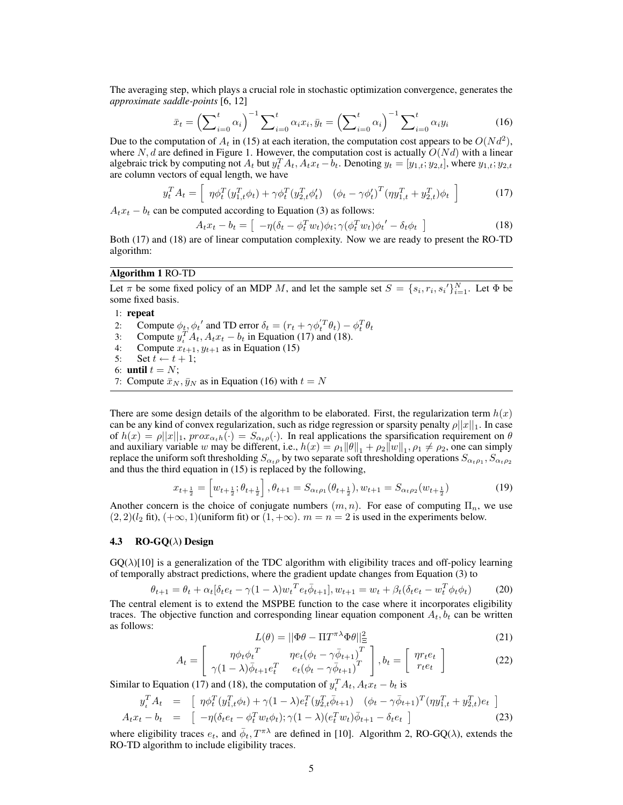The averaging step, which plays a crucial role in stochastic optimization convergence, generates the *approximate saddle-points* [6, 12]

$$
\bar{x}_t = \left(\sum_{i=0}^t \alpha_i\right)^{-1} \sum_{i=0}^t \alpha_i x_i, \bar{y}_t = \left(\sum_{i=0}^t \alpha_i\right)^{-1} \sum_{i=0}^t \alpha_i y_i \tag{16}
$$

Due to the computation of  $A_t$  in (15) at each iteration, the computation cost appears to be  $O(N d^2)$ , where N, d are defined in Figure 1. However, the computation cost is actually  $O(Nd)$  with a linear algebraic trick by computing not  $A_t$  but  $y_t^T A_t$ ,  $A_t x_t - b_t$ . Denoting  $y_t = [y_{1,t}; y_{2,t}]$ , where  $y_{1,t}; y_{2,t}$ are column vectors of equal length, we have

$$
y_t^T A_t = \left[ \eta \phi_t^T (y_{1,t}^T \phi_t) + \gamma \phi_t^T (y_{2,t}^T \phi_t') \left( \phi_t - \gamma \phi_t' \right)^T (\eta y_{1,t}^T + y_{2,t}^T) \phi_t \right]
$$
(17)

 $A_t x_t - b_t$  can be computed according to Equation (3) as follows:

$$
A_t x_t - b_t = \left[ -\eta (\delta_t - \phi_t^T w_t) \phi_t; \gamma (\phi_t^T w_t) \phi_t' - \delta_t \phi_t \right]
$$
\n(18)

Both (17) and (18) are of linear computation complexity. Now we are ready to present the RO-TD algorithm:

## Algorithm 1 RO-TD

Let  $\pi$  be some fixed policy of an MDP M, and let the sample set  $S = \{s_i, r_i, s_i'\}_{i=1}^N$ . Let  $\Phi$  be some fixed basis.

#### 1: repeat

- 2: Compute  $\phi_t$ ,  $\phi_t'$  and TD error  $\delta_t = (r_t + \gamma \phi_t'^T \theta_t) \phi_t^T \theta_t$
- 3: Compute  $y_t^T A_t$ ,  $A_t x_t b_t$  in Equation (17) and (18).
- 4: Compute  $x_{t+1}$ ,  $y_{t+1}$  as in Equation (15)
- 5: Set  $t \leftarrow t + 1$ ;
- 6: until  $t = N$ ;
- 7: Compute  $\bar{x}_N$ ,  $\bar{y}_N$  as in Equation (16) with  $t = N$

There are some design details of the algorithm to be elaborated. First, the regularization term  $h(x)$ can be any kind of convex regularization, such as ridge regression or sparsity penalty  $\rho ||x||_1$ . In case of  $h(x) = \rho ||x||_1$ ,  $prox_{\alpha_t h}(\cdot) = S_{\alpha_t \rho}(\cdot)$ . In real applications the sparsification requirement on  $\theta$ and auxiliary variable w may be different, i.e.,  $h(x) = \rho_1 ||\theta||_1 + \rho_2 ||w||_1$ ,  $\rho_1 \neq \rho_2$ , one can simply replace the uniform soft thresholding  $S_{\alpha_t\rho}$  by two separate soft thresholding operations  $S_{\alpha_t\rho_1},S_{\alpha_t\rho_2}$ and thus the third equation in (15) is replaced by the following,

$$
x_{t+\frac{1}{2}} = \left[w_{t+\frac{1}{2}}; \theta_{t+\frac{1}{2}}\right], \theta_{t+1} = S_{\alpha_t \rho_1}(\theta_{t+\frac{1}{2}}), w_{t+1} = S_{\alpha_t \rho_2}(w_{t+\frac{1}{2}})
$$
(19)

Another concern is the choice of conjugate numbers  $(m, n)$ . For ease of computing  $\Pi_n$ , we use  $(2, 2)(l_2$  fit),  $(+\infty, 1)$ (uniform fit) or  $(1, +\infty)$ .  $m = n = 2$  is used in the experiments below.

## 4.3 RO-GQ( $\lambda$ ) Design

 $GQ(\lambda)[10]$  is a generalization of the TDC algorithm with eligibility traces and off-policy learning of temporally abstract predictions, where the gradient update changes from Equation (3) to

$$
\theta_{t+1} = \theta_t + \alpha_t [\delta_t e_t - \gamma (1 - \lambda) w_t^T e_t \bar{\phi}_{t+1}], w_{t+1} = w_t + \beta_t (\delta_t e_t - w_t^T \phi_t \phi_t)
$$
(20)

The central element is to extend the MSPBE function to the case where it incorporates eligibility traces. The objective function and corresponding linear equation component  $A_t$ ,  $b_t$  can be written as follows:

$$
L(\theta) = ||\Phi\theta - \Pi T^{\pi\lambda}\Phi\theta||_{\Xi}^{2}
$$
 (21)

$$
A_t = \begin{bmatrix} \eta \phi_t \phi_t^T & \eta e_t (\phi_t - \gamma \bar{\phi}_{t+1})^T \\ \gamma (1 - \lambda) \bar{\phi}_{t+1} e_t^T & e_t (\phi_t - \gamma \bar{\phi}_{t+1})^T \end{bmatrix}, b_t = \begin{bmatrix} \eta r_t e_t \\ r_t e_t \end{bmatrix}
$$
(22)

Similar to Equation (17) and (18), the computation of  $y_t^T A_t$ ,  $A_t x_t - b_t$  is

$$
y_t^T A_t = \begin{bmatrix} \eta \phi_t^T (y_{1,t}^T \phi_t) + \gamma (1 - \lambda) e_t^T (y_{2,t}^T \bar{\phi}_{t+1}) & (\phi_t - \gamma \bar{\phi}_{t+1})^T (\eta y_{1,t}^T + y_{2,t}^T) e_t \end{bmatrix}
$$
  
\n
$$
A_t x_t - b_t = \begin{bmatrix} -\eta (\delta_t e_t - \phi_t^T w_t \phi_t); \gamma (1 - \lambda) (e_t^T w_t) \bar{\phi}_{t+1} - \delta_t e_t \end{bmatrix}
$$
 (23)

where eligibility traces  $e_t$ , and  $\bar{\phi}_t$ ,  $T^{\pi\lambda}$  are defined in [10]. Algorithm 2, RO-GQ( $\lambda$ ), extends the RO-TD algorithm to include eligibility traces.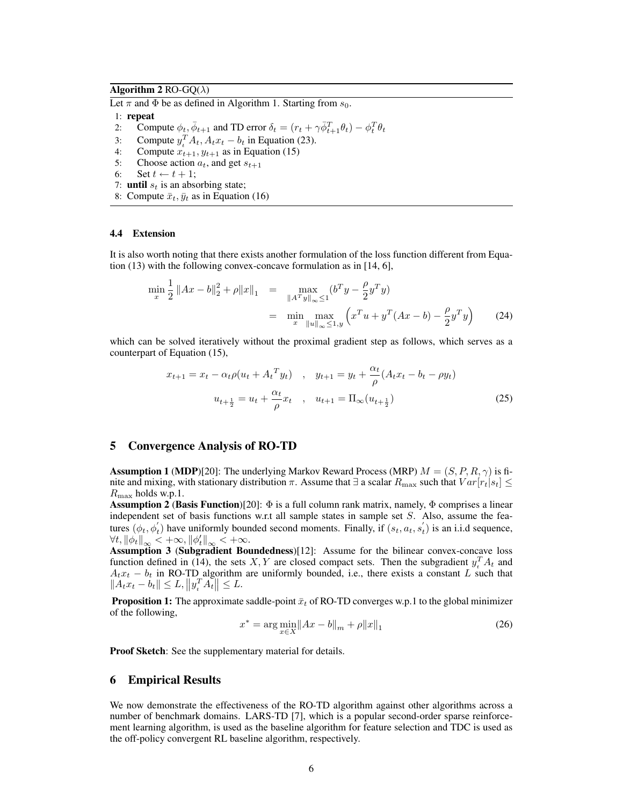## Algorithm 2 RO-GQ( $\lambda$ )

Let  $\pi$  and  $\Phi$  be as defined in Algorithm 1. Starting from  $s_0$ .

- 1: repeat
- 2: Compute  $\phi_t$ ,  $\bar{\phi}_{t+1}$  and TD error  $\delta_t = (r_t + \gamma \bar{\phi}_{t+1}^T \theta_t) \phi_t^T \theta_t$
- 3: Compute  $y_t^T A_t$ ,  $A_t x_t b_t$  in Equation (23).
- 4: Compute  $x_{t+1}$ ,  $y_{t+1}$  as in Equation (15)
- 5: Choose action  $a_t$ , and get  $s_{t+1}$
- 6: Set  $t \leftarrow t + 1$ ;
- 7: **until**  $s_t$  is an absorbing state;
- 8: Compute  $\bar{x}_t$ ,  $\bar{y}_t$  as in Equation (16)

#### 4.4 Extension

It is also worth noting that there exists another formulation of the loss function different from Equation (13) with the following convex-concave formulation as in [14, 6],

$$
\min_{x} \frac{1}{2} \|Ax - b\|_{2}^{2} + \rho \|x\|_{1} = \max_{\|A^{T}y\|_{\infty} \le 1} (b^{T}y - \frac{\rho}{2}y^{T}y)
$$

$$
= \min_{x} \max_{\|u\|_{\infty} \le 1, y} \left( x^{T}u + y^{T}(Ax - b) - \frac{\rho}{2}y^{T}y \right) \tag{24}
$$

which can be solved iteratively without the proximal gradient step as follows, which serves as a counterpart of Equation (15),

$$
x_{t+1} = x_t - \alpha_t \rho (u_t + A_t^T y_t) \quad , \quad y_{t+1} = y_t + \frac{\alpha_t}{\rho} (A_t x_t - b_t - \rho y_t)
$$

$$
u_{t+\frac{1}{2}} = u_t + \frac{\alpha_t}{\rho} x_t \quad , \quad u_{t+1} = \Pi_\infty (u_{t+\frac{1}{2}}) \tag{25}
$$

## 5 Convergence Analysis of RO-TD

**Assumption 1 (MDP)**[20]: The underlying Markov Reward Process (MRP)  $M = (S, P, R, \gamma)$  is finite and mixing, with stationary distribution  $\pi$ . Assume that  $\exists$  a scalar  $R_{\max}$  such that  $Var[r_t|s_t] \le$  $R_{\text{max}}$  holds w.p.1.

**Assumption 2 (Basis Function)**[20]:  $\Phi$  is a full column rank matrix, namely,  $\Phi$  comprises a linear independent set of basis functions w.r.t all sample states in sample set S. Also, assume the features  $(\phi_t, \phi'_t)$  have uniformly bounded second moments. Finally, if  $(s_t, a_t, s'_t)$  is an i.i.d sequence,  $\forall t, \|\phi_t\|_{\infty} < +\infty, \|\phi_t'\|_{\infty} < +\infty.$ 

Assumption 3 (Subgradient Boundedness)[12]: Assume for the bilinear convex-concave loss function defined in (14), the sets X, Y are closed compact sets. Then the subgradient  $y_t^T A_t$  and  $A_t x_t - b_t$  in RO-TD algorithm are uniformly bounded, i.e., there exists a constant L such that  $||A_t x_t - b_t|| \leq L, ||y_t^T A_t|| \leq L.$ 

**Proposition 1:** The approximate saddle-point  $\bar{x}_t$  of RO-TD converges w.p.1 to the global minimizer of the following,

$$
x^* = \arg\min_{x \in X} \|Ax - b\|_{m} + \rho \|x\|_{1}
$$
 (26)

Proof Sketch: See the supplementary material for details.

#### 6 Empirical Results

We now demonstrate the effectiveness of the RO-TD algorithm against other algorithms across a number of benchmark domains. LARS-TD [7], which is a popular second-order sparse reinforcement learning algorithm, is used as the baseline algorithm for feature selection and TDC is used as the off-policy convergent RL baseline algorithm, respectively.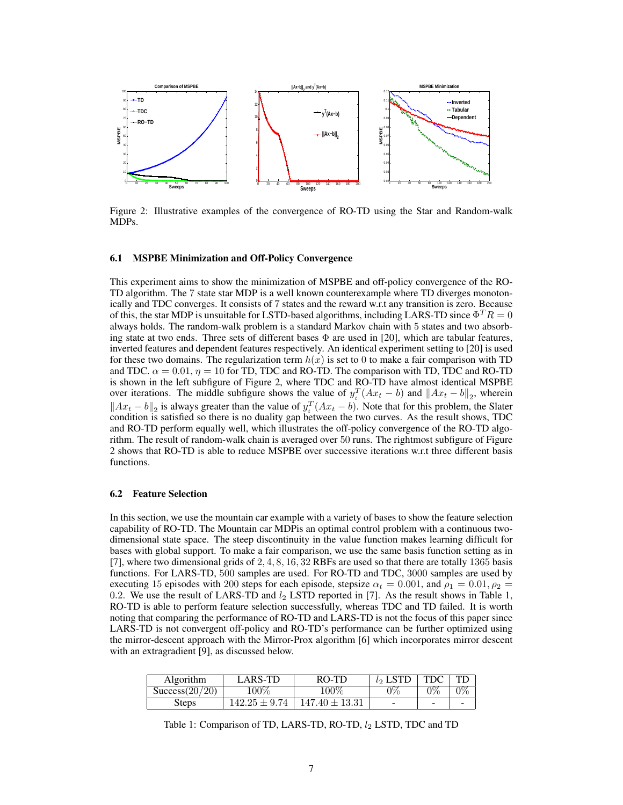

Figure 2: Illustrative examples of the convergence of RO-TD using the Star and Random-walk MDPs.

#### 6.1 MSPBE Minimization and Off-Policy Convergence

This experiment aims to show the minimization of MSPBE and off-policy convergence of the RO-TD algorithm. The 7 state star MDP is a well known counterexample where TD diverges monotonically and TDC converges. It consists of 7 states and the reward w.r.t any transition is zero. Because of this, the star MDP is unsuitable for LSTD-based algorithms, including LARS-TD since  $\Phi^T R = 0$ always holds. The random-walk problem is a standard Markov chain with 5 states and two absorbing state at two ends. Three sets of different bases  $\Phi$  are used in [20], which are tabular features, inverted features and dependent features respectively. An identical experiment setting to [20] is used for these two domains. The regularization term  $h(x)$  is set to 0 to make a fair comparison with TD and TDC.  $\alpha = 0.01$ ,  $\eta = 10$  for TD, TDC and RO-TD. The comparison with TD, TDC and RO-TD is shown in the left subfigure of Figure 2, where TDC and RO-TD have almost identical MSPBE over iterations. The middle subfigure shows the value of  $y_t^T(Ax_t - b)$  and  $||Ax_t - b||_2$ , wherein  $||Ax_t - b||_2$  is always greater than the value of  $y_t^T(Ax_t - b)$ . Note that for this problem, the Slater condition is satisfied so there is no duality gap between the two curves. As the result shows, TDC and RO-TD perform equally well, which illustrates the off-policy convergence of the RO-TD algorithm. The result of random-walk chain is averaged over 50 runs. The rightmost subfigure of Figure 2 shows that RO-TD is able to reduce MSPBE over successive iterations w.r.t three different basis functions.

#### 6.2 Feature Selection

In this section, we use the mountain car example with a variety of bases to show the feature selection capability of RO-TD. The Mountain car MDPis an optimal control problem with a continuous twodimensional state space. The steep discontinuity in the value function makes learning difficult for bases with global support. To make a fair comparison, we use the same basis function setting as in [7], where two dimensional grids of 2, 4, 8, 16, 32 RBFs are used so that there are totally 1365 basis functions. For LARS-TD, 500 samples are used. For RO-TD and TDC, 3000 samples are used by executing 15 episodes with 200 steps for each episode, stepsize  $\alpha_t = 0.001$ , and  $\rho_1 = 0.01$ ,  $\rho_2 =$ 0.2. We use the result of LARS-TD and  $l_2$  LSTD reported in [7]. As the result shows in Table 1, RO-TD is able to perform feature selection successfully, whereas TDC and TD failed. It is worth noting that comparing the performance of RO-TD and LARS-TD is not the focus of this paper since LARS-TD is not convergent off-policy and RO-TD's performance can be further optimized using the mirror-descent approach with the Mirror-Prox algorithm [6] which incorporates mirror descent with an extragradient [9], as discussed below.

| Algorithm      | LARS-TD           | RO-TD              | $l_2$ LSTD | <b>TDC</b> |  |
|----------------|-------------------|--------------------|------------|------------|--|
| Success(20/20) | $100\%$           | $100\%$            | $0\%$      | $0\%$      |  |
| Steps          | $142.25 \pm 9.74$ | $147.40 \pm 13.31$ | -          | -          |  |

Table 1: Comparison of TD, LARS-TD, RO-TD,  $l_2$  LSTD, TDC and TD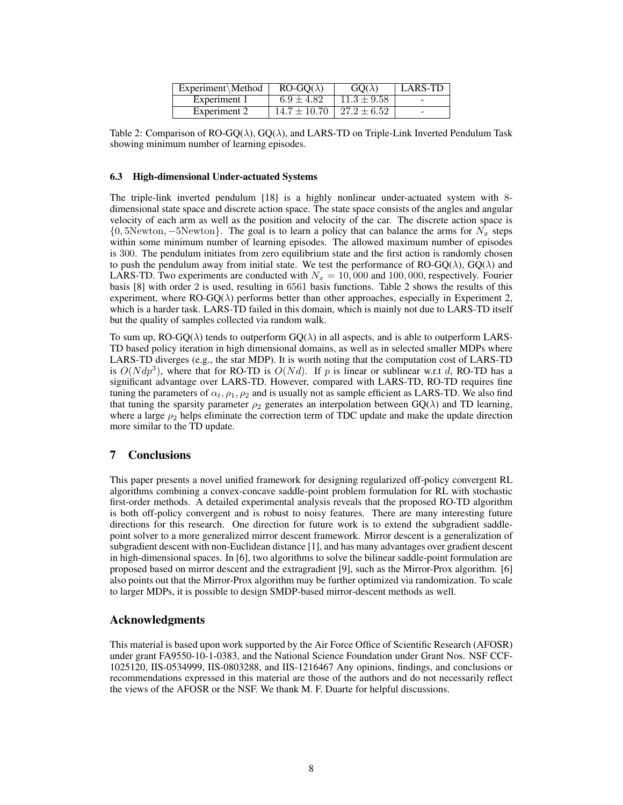| $Experiment\Method$ | $RO-GO(\lambda)$ | $GO(\lambda)$    | <b>LARS-TD</b> |
|---------------------|------------------|------------------|----------------|
| Experiment 1        | $6.9 \pm 4.82$   | $11.3 \pm 9.58$  |                |
| Experiment 2        | $14.7 \pm 10.70$ | $127.2 \pm 6.52$ |                |

Table 2: Comparison of RO-GQ( $\lambda$ ), GQ( $\lambda$ ), and LARS-TD on Triple-Link Inverted Pendulum Task showing minimum number of learning episodes.

#### 6.3 High-dimensional Under-actuated Systems

The triple-link inverted pendulum [18] is a highly nonlinear under-actuated system with 8 dimensional state space and discrete action space. The state space consists of the angles and angular velocity of each arm as well as the position and velocity of the car. The discrete action space is  $\{0, 5\}$ Newton,  $-5$ Newton $\}$ . The goal is to learn a policy that can balance the arms for  $N_x$  steps within some minimum number of learning episodes. The allowed maximum number of episodes is 300. The pendulum initiates from zero equilibrium state and the first action is randomly chosen to push the pendulum away from initial state. We test the performance of RO-GQ( $\lambda$ ), GQ( $\lambda$ ) and LARS-TD. Two experiments are conducted with  $N_x = 10,000$  and 100,000, respectively. Fourier basis [8] with order 2 is used, resulting in 6561 basis functions. Table 2 shows the results of this experiment, where  $RO-GQ(\lambda)$  performs better than other approaches, especially in Experiment 2, which is a harder task. LARS-TD failed in this domain, which is mainly not due to LARS-TD itself but the quality of samples collected via random walk.

To sum up, RO-GQ( $\lambda$ ) tends to outperform GQ( $\lambda$ ) in all aspects, and is able to outperform LARS-TD based policy iteration in high dimensional domains, as well as in selected smaller MDPs where LARS-TD diverges (e.g., the star MDP). It is worth noting that the computation cost of LARS-TD is  $O(Ndp^3)$ , where that for RO-TD is  $O(Nd)$ . If p is linear or sublinear w.r.t d, RO-TD has a significant advantage over LARS-TD. However, compared with LARS-TD, RO-TD requires fine tuning the parameters of  $\alpha_t$ ,  $\rho_1$ ,  $\rho_2$  and is usually not as sample efficient as LARS-TD. We also find that tuning the sparsity parameter  $\rho_2$  generates an interpolation between GQ( $\lambda$ ) and TD learning, where a large  $\rho_2$  helps eliminate the correction term of TDC update and make the update direction more similar to the TD update.

## 7 Conclusions

This paper presents a novel unified framework for designing regularized off-policy convergent RL algorithms combining a convex-concave saddle-point problem formulation for RL with stochastic first-order methods. A detailed experimental analysis reveals that the proposed RO-TD algorithm is both off-policy convergent and is robust to noisy features. There are many interesting future directions for this research. One direction for future work is to extend the subgradient saddlepoint solver to a more generalized mirror descent framework. Mirror descent is a generalization of subgradient descent with non-Euclidean distance [1], and has many advantages over gradient descent in high-dimensional spaces. In [6], two algorithms to solve the bilinear saddle-point formulation are proposed based on mirror descent and the extragradient [9], such as the Mirror-Prox algorithm. [6] also points out that the Mirror-Prox algorithm may be further optimized via randomization. To scale to larger MDPs, it is possible to design SMDP-based mirror-descent methods as well.

## Acknowledgments

This material is based upon work supported by the Air Force Office of Scientific Research (AFOSR) under grant FA9550-10-1-0383, and the National Science Foundation under Grant Nos. NSF CCF-1025120, IIS-0534999, IIS-0803288, and IIS-1216467 Any opinions, findings, and conclusions or recommendations expressed in this material are those of the authors and do not necessarily reflect the views of the AFOSR or the NSF. We thank M. F. Duarte for helpful discussions.